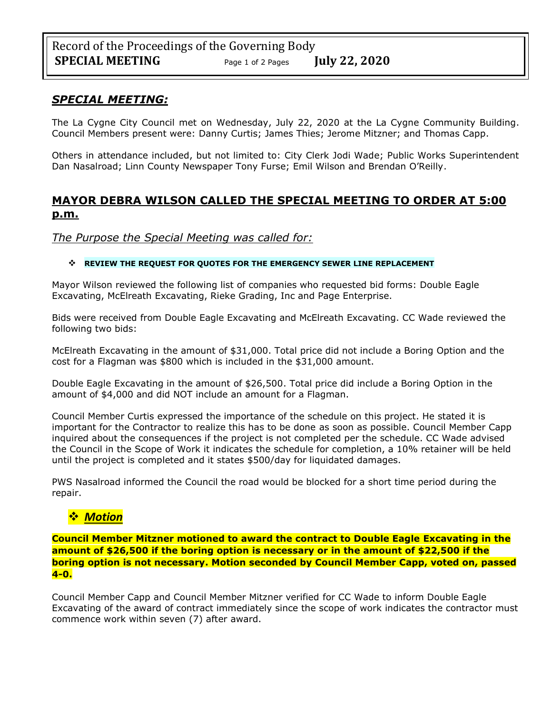#### *SPECIAL MEETING:*

The La Cygne City Council met on Wednesday, July 22, 2020 at the La Cygne Community Building. Council Members present were: Danny Curtis; James Thies; Jerome Mitzner; and Thomas Capp.

Others in attendance included, but not limited to: City Clerk Jodi Wade; Public Works Superintendent Dan Nasalroad; Linn County Newspaper Tony Furse; Emil Wilson and Brendan O'Reilly.

# **MAYOR DEBRA WILSON CALLED THE SPECIAL MEETING TO ORDER AT 5:00 p.m.**

*The Purpose the Special Meeting was called for:*

#### ❖ **REVIEW THE REQUEST FOR QUOTES FOR THE EMERGENCY SEWER LINE REPLACEMENT**

Mayor Wilson reviewed the following list of companies who requested bid forms: Double Eagle Excavating, McElreath Excavating, Rieke Grading, Inc and Page Enterprise.

Bids were received from Double Eagle Excavating and McElreath Excavating. CC Wade reviewed the following two bids:

McElreath Excavating in the amount of \$31,000. Total price did not include a Boring Option and the cost for a Flagman was \$800 which is included in the \$31,000 amount.

Double Eagle Excavating in the amount of \$26,500. Total price did include a Boring Option in the amount of \$4,000 and did NOT include an amount for a Flagman.

Council Member Curtis expressed the importance of the schedule on this project. He stated it is important for the Contractor to realize this has to be done as soon as possible. Council Member Capp inquired about the consequences if the project is not completed per the schedule. CC Wade advised the Council in the Scope of Work it indicates the schedule for completion, a 10% retainer will be held until the project is completed and it states \$500/day for liquidated damages.

PWS Nasalroad informed the Council the road would be blocked for a short time period during the repair.

# ❖ *Motion*

**Council Member Mitzner motioned to award the contract to Double Eagle Excavating in the amount of \$26,500 if the boring option is necessary or in the amount of \$22,500 if the boring option is not necessary. Motion seconded by Council Member Capp, voted on, passed 4-0.**

Council Member Capp and Council Member Mitzner verified for CC Wade to inform Double Eagle Excavating of the award of contract immediately since the scope of work indicates the contractor must commence work within seven (7) after award.